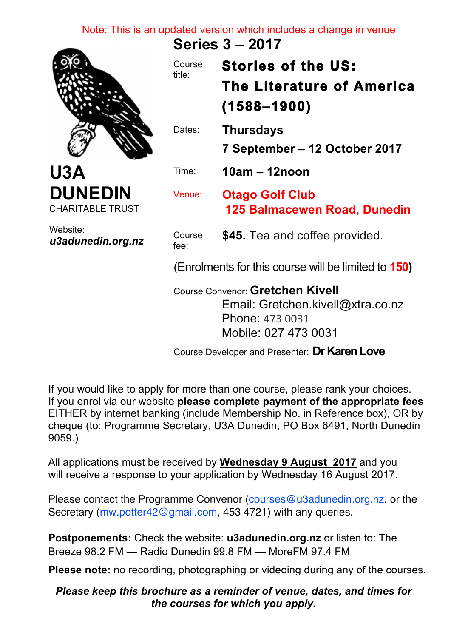## Note: This is an updated version which includes a change in venue

**Series 3** – **2017** 



**U3A DUNEDIN** CHARITABLE TRUST

*u3adunedin.org.nz*

Website:

Course title: **Stories of the US: The Literature of America (1588–1900)**  Dates: **Thursdays 7 September – 12 October 2017** Time: **10am – 12noon** Venue: **Otago Golf Club 125 Balmacewen Road, Dunedin** Course fee: **\$45.** Tea and coffee provided. (Enrolments for this course will be limited to **150)** Course Convenor: **Gretchen Kivell**

Email: Gretchen.kivell@xtra.co.nz Phone: 473 0031 Mobile: 027 473 0031

Course Developer and Presenter: **Dr Karen Love**

If you would like to apply for more than one course, please rank your choices. If you enrol via our website **please complete payment of the appropriate fees** EITHER by internet banking (include Membership No. in Reference box), OR by cheque (to: Programme Secretary, U3A Dunedin, PO Box 6491, North Dunedin 9059.)

All applications must be received by **Wednesday 9 August 2017** and you will receive a response to your application by Wednesday 16 August 2017.

Please contact the Programme Convenor (courses@u3adunedin.org.nz, or the Secretary (mw.potter42@gmail.com, 453 4721) with any queries.

**Postponements:** Check the website: **u3adunedin.org.nz** or listen to: The Breeze 98.2 FM — Radio Dunedin 99.8 FM — MoreFM 97.4 FM

**Please note:** no recording, photographing or videoing during any of the courses.

## *Please keep this brochure as a reminder of venue, dates, and times for the courses for which you apply.*